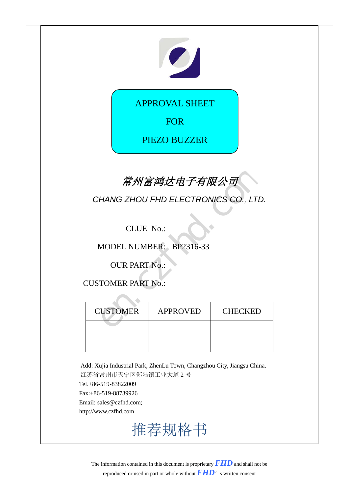# 

APPROVAL SHEET

FOR

PIEZO BUZZER

## **常州富鸿达电子有限公司**

| 常州富鸿达电子有限公司                          |                         |                |  |  |
|--------------------------------------|-------------------------|----------------|--|--|
| CHANG ZHOU FHD ELECTRONICS CO., LTD. |                         |                |  |  |
| CLUE No.:                            |                         |                |  |  |
|                                      | MODEL NUMBER: BP2316-33 |                |  |  |
| <b>OUR PART No.:</b>                 |                         |                |  |  |
| <b>CUSTOMER PART No.:</b>            |                         |                |  |  |
|                                      |                         |                |  |  |
| <b>CUSTOMER</b>                      | <b>APPROVED</b>         | <b>CHECKED</b> |  |  |
|                                      |                         |                |  |  |
|                                      |                         |                |  |  |

Add: Xujia Industrial Park, ZhenLu Town, Changzhou City, Jiangsu China. 江苏省常州市天宁区郑陆镇工业大道 2 号 Tel:+86-519-83822009 Fax:+86-519-88739926 Email: sales@czfhd.com; http://www.czfhd.com

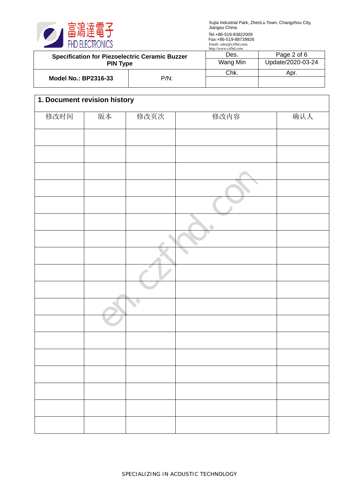

|                                                                          |         | $HUD.$ , w w w.cz $HBC.$ |                   |
|--------------------------------------------------------------------------|---------|--------------------------|-------------------|
| <b>Specification for Piezoelectric Ceramic Buzzer</b><br><b>PIN Type</b> |         | Des.                     | Page 2 of 6       |
|                                                                          |         | Wang Min                 | Update/2020-03-24 |
| <b>Model No.: BP2316-33</b>                                              | $P/N$ : | Chk.                     | Apr.              |
|                                                                          |         |                          |                   |
|                                                                          |         |                          |                   |

| 1. Document revision history |    |              |      |     |  |
|------------------------------|----|--------------|------|-----|--|
| 修改时间                         | 版本 | 修改页次         | 修改内容 | 确认人 |  |
|                              |    |              |      |     |  |
|                              |    |              |      |     |  |
|                              |    |              |      |     |  |
|                              |    |              |      |     |  |
|                              |    |              |      |     |  |
|                              |    |              |      |     |  |
|                              |    |              |      |     |  |
|                              |    |              |      |     |  |
|                              |    |              |      |     |  |
|                              |    |              |      |     |  |
|                              |    | $\mathbb{C}$ |      |     |  |
|                              |    |              |      |     |  |
|                              |    |              |      |     |  |
|                              |    |              |      |     |  |
|                              |    |              |      |     |  |
|                              |    |              |      |     |  |
|                              |    |              |      |     |  |
|                              |    |              |      |     |  |
|                              |    |              |      |     |  |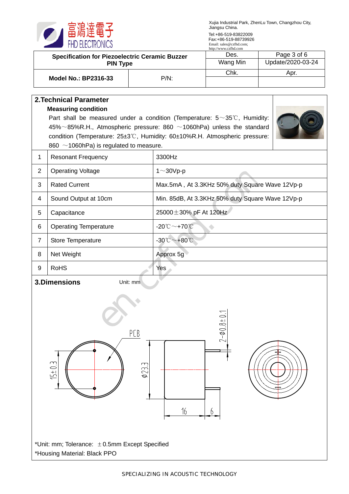

| <b>Specification for Piezoelectric Ceramic Buzzer</b><br><b>PIN Type</b>      |                                                                                                                       | http://www.czfhd.com<br>Des.<br>Wang Min     | Page 3 of 6<br>Update/2020-03-24                 |  |  |
|-------------------------------------------------------------------------------|-----------------------------------------------------------------------------------------------------------------------|----------------------------------------------|--------------------------------------------------|--|--|
| $P/N$ :<br><b>Model No.: BP2316-33</b>                                        |                                                                                                                       | Chk.                                         | Apr.                                             |  |  |
|                                                                               |                                                                                                                       |                                              |                                                  |  |  |
|                                                                               | <b>2. Technical Parameter</b>                                                                                         |                                              |                                                  |  |  |
|                                                                               | <b>Measuring condition</b><br>Part shall be measured under a condition (Temperature: $5 \sim 35^{\circ}$ C, Humidity: |                                              |                                                  |  |  |
|                                                                               | $45\% \sim 85\%$ R.H., Atmospheric pressure: 860 $\sim$ 1060hPa) unless the standard                                  |                                              |                                                  |  |  |
|                                                                               | condition (Temperature: 25±3℃, Humidity: 60±10%R.H. Atmospheric pressure:                                             |                                              |                                                  |  |  |
| $\mathbf{1}$                                                                  | 860 $\sim$ 1060hPa) is regulated to measure.<br><b>Resonant Frequency</b>                                             | 3300Hz                                       |                                                  |  |  |
| $\overline{2}$                                                                |                                                                                                                       |                                              |                                                  |  |  |
|                                                                               | <b>Operating Voltage</b>                                                                                              | $1 \sim 30$ Vp-p                             |                                                  |  |  |
| 3                                                                             | <b>Rated Current</b>                                                                                                  |                                              | Max.5mA, At 3.3KHz 50% duty Square Wave 12Vp-p   |  |  |
| 4                                                                             | Sound Output at 10cm                                                                                                  |                                              | Min. 85dB, At 3.3KHz 50% duty Square Wave 12Vp-p |  |  |
| 5                                                                             | Capacitance                                                                                                           | 25000 ± 30% pF At 120Hz                      |                                                  |  |  |
| 6                                                                             | <b>Operating Temperature</b>                                                                                          | $-20^{\circ}\text{C}\sim+70^{\circ}\text{C}$ |                                                  |  |  |
| $\overline{7}$                                                                | Store Temperature                                                                                                     | $-30^{\circ}\text{C}\sim+80^{\circ}\text{C}$ |                                                  |  |  |
| 8                                                                             | Net Weight                                                                                                            | Approx 5g                                    |                                                  |  |  |
| 9                                                                             | <b>RoHS</b>                                                                                                           | Yes                                          |                                                  |  |  |
|                                                                               | 3.Dimensions<br>Unit: mm                                                                                              |                                              |                                                  |  |  |
| $-1$<br>$2 - 0.8 + 0$<br>PCB<br>$15 + 0.3$<br>$\phi$ 233<br>16<br>6           |                                                                                                                       |                                              |                                                  |  |  |
| *Unit: mm; Tolerance: ±0.5mm Except Specified<br>*Housing Material: Black PPO |                                                                                                                       |                                              |                                                  |  |  |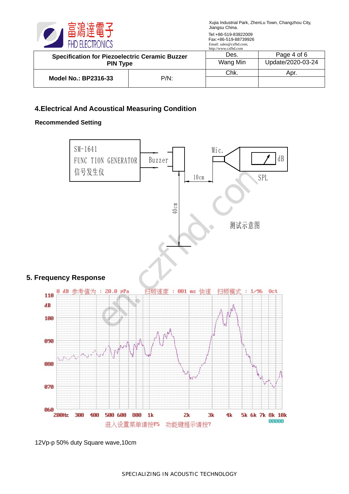

| <b>Specification for Piezoelectric Ceramic Buzzer</b><br><b>PIN Type</b> |         | http://www.czfnd.com<br>Des. | Page 4 of 6       |
|--------------------------------------------------------------------------|---------|------------------------------|-------------------|
|                                                                          |         | Wang Min                     | Update/2020-03-24 |
|                                                                          |         | Chk.                         | Apr.              |
| Model No.: BP2316-33                                                     | $P/N$ : |                              |                   |

#### **4.Electrical And Acoustical Measuring Condition**

#### **Recommended Setting**



<sup>12</sup>Vp-p 50% duty Square wave,10cm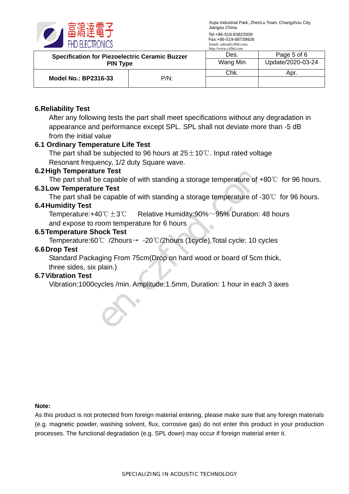

|                                                                          |         | http://www.czfhd.com |                   |
|--------------------------------------------------------------------------|---------|----------------------|-------------------|
| <b>Specification for Piezoelectric Ceramic Buzzer</b><br><b>PIN Type</b> |         | Des.                 | Page 5 of 6       |
|                                                                          |         | Wang Min             | Update/2020-03-24 |
| <b>Model No.: BP2316-33</b>                                              | $P/N$ : | Chk.                 | Apr.              |
|                                                                          |         |                      |                   |

#### **6.Reliability Test**

After any following tests the part shall meet specifications without any degradation in appearance and performance except SPL. SPL shall not deviate more than -5 dB from the initial value

#### **6.1 Ordinary Temperature Life Test**

The part shall be subjected to 96 hours at  $25±10°C$ . Input rated voltage Resonant frequency, 1/2 duty Square wave.

#### **6.2High Temperature Test**

The part shall be capable of with standing a storage temperature of  $+80^{\circ}$  for 96 hours.

#### **6.3 Low Temperature Test**

The part shall be capable of with standing a storage temperature of -30℃ for 96 hours.

#### **6.4 Humidity Test**

Temperature:+40℃ $\pm$ 3℃ Relative Humidity:90% $\sim$ 95% Duration: 48 hours and expose to room temperature for 6 hours Free Test<br>
Free Test<br>
Free Test<br>
Free Test<br>
Scapable of with standing a storage temperature of -3<br>  $20^\circ C \pm 3^\circ C$  Relative Humidity:90%~95% Duration: 4<br>
DOCK Test<br>
Test<br>
C /2hours → -20°C/2hours (1cycle), Total cycle: 10

#### **6.5Temperature Shock Test**

Temperature:60℃ /2hours→ -20℃/2hours (1cycle),Total cycle: 10 cycles

#### **6.6 Drop Test**

Standard Packaging From 75cm(Drop on hard wood or board of 5cm thick,

#### three sides, six plain.) **6.7Vibration Test**

Vibration:1000cycles /min. Amplitude:1.5mm, Duration: 1 hour in each 3 axes

#### **Note:**

As this product is not protected from foreign material entering, please make sure that any foreign materials (e.g. magnetic powder, washing solvent, flux, corrosive gas) do not enter this product in your production processes. The functional degradation (e.g. SPL down) may occur if foreign material enter it.